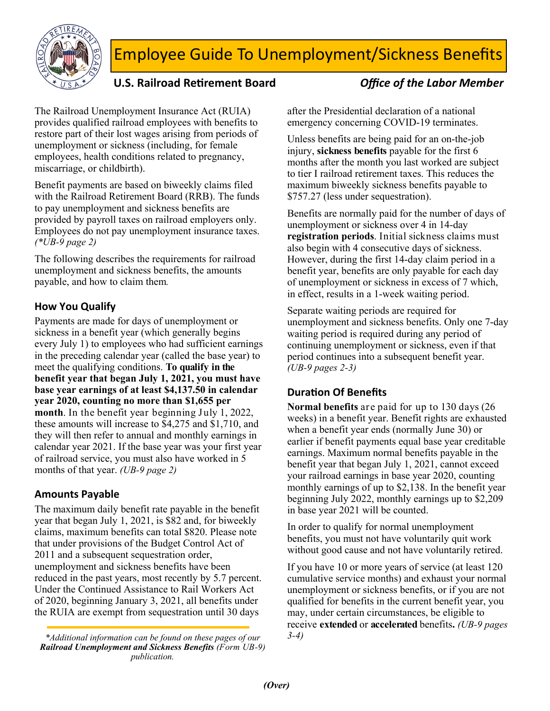

# Employee Guide To Unemployment/Sickness Benefits

# U.S. Railroad Retirement Board *Office of the Labor Member*

The Railroad Unemployment Insurance Act (RUIA) provides qualified railroad employees with benefits to restore part of their lost wages arising from periods of unemployment or sickness (including, for female employees, health conditions related to pregnancy, miscarriage, or childbirth).

Benefit payments are based on biweekly claims filed with the Railroad Retirement Board (RRB). The funds to pay unemployment and sickness benefits are provided by payroll taxes on railroad employers only. Employees do not pay unemployment insurance taxes. *(\*UB-9 page 2)*

The following describes the requirements for railroad unemployment and sickness benefits, the amounts payable, and how to claim them*.*

### **How You Qualify**

Payments are made for days of unemployment or sickness in a benefit year (which generally begins every July 1) to employees who had sufficient earnings in the preceding calendar year (called the base year) to meet the qualifying conditions. **To qualify in the benefit year that began July 1, 2021, you must have base year earnings of at least \$4,137.50 in calendar year 2020, counting no more than \$1,655 per month**. In the benefit year beginning July 1, 2022, these amounts will increase to \$4,275 and \$1,710, and they will then refer to annual and monthly earnings in calendar year 2021. If the base year was your first year of railroad service, you must also have worked in 5 months of that year. *(UB-9 page 2)*

### **Amounts Payable**

The maximum daily benefit rate payable in the benefit year that began July 1, 2021, is \$82 and, for biweekly claims, maximum benefits can total \$820. Please note that under provisions of the Budget Control Act of 2011 and a subsequent sequestration order, unemployment and sickness benefits have been reduced in the past years, most recently by 5.7 percent. Under the Continued Assistance to Rail Workers Act of 2020, beginning January 3, 2021, all benefits under the RUIA are exempt from sequestration until 30 days

*\*Additional information can be found on these pages of our 3-4) Railroad Unemployment and Sickness Benefits (Form UB-9) publication.* 

after the Presidential declaration of a national emergency concerning COVID-19 terminates.

Unless benefits are being paid for an on-the-job injury, **sickness benefits** payable for the first 6 months after the month you last worked are subject to tier I railroad retirement taxes. This reduces the maximum biweekly sickness benefits payable to \$757.27 (less under sequestration).

Benefits are normally paid for the number of days of unemployment or sickness over 4 in 14-day **registration periods**. Initial sickness claims must also begin with 4 consecutive days of sickness. However, during the first 14-day claim period in a benefit year, benefits are only payable for each day of unemployment or sickness in excess of 7 which, in effect, results in a 1-week waiting period.

Separate waiting periods are required for unemployment and sickness benefits. Only one 7-day waiting period is required during any period of continuing unemployment or sickness, even if that period continues into a subsequent benefit year. *(UB-9 pages 2-3)*

## **DuraƟon Of Benefits**

**Normal benefits** are paid for up to 130 days (26 weeks) in a benefit year. Benefit rights are exhausted when a benefit year ends (normally June 30) or earlier if benefit payments equal base year creditable earnings. Maximum normal benefits payable in the benefit year that began July 1, 2021, cannot exceed your railroad earnings in base year 2020, counting monthly earnings of up to \$2,138. In the benefit year beginning July 2022, monthly earnings up to \$2,209 in base year 2021 will be counted.

In order to qualify for normal unemployment benefits, you must not have voluntarily quit work without good cause and not have voluntarily retired.

If you have 10 or more years of service (at least 120 cumulative service months) and exhaust your normal unemployment or sickness benefits, or if you are not qualified for benefits in the current benefit year, you may, under certain circumstances, be eligible to receive **extended** or **accelerated** benefits**.** *(UB-9 pages*